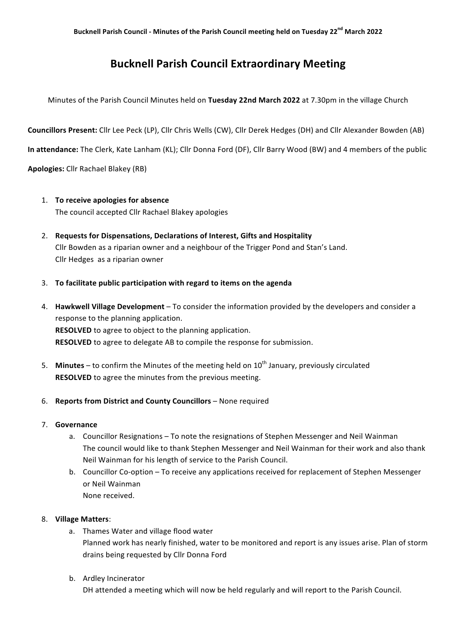## **Bucknell Parish Council Extraordinary Meeting**

Minutes of the Parish Council Minutes held on Tuesday 22nd March 2022 at 7.30pm in the village Church

**Councillors Present:** Cllr Lee Peck (LP), Cllr Chris Wells (CW), Cllr Derek Hedges (DH) and Cllr Alexander Bowden (AB)

**In attendance:** The Clerk, Kate Lanham (KL); Cllr Donna Ford (DF), Cllr Barry Wood (BW) and 4 members of the public

**Apologies:** Cllr Rachael Blakey (RB)

- 1. **To receive apologies for absence** The council accepted Cllr Rachael Blakey apologies
- 2. Requests for Dispensations, Declarations of Interest, Gifts and Hospitality Cllr Bowden as a riparian owner and a neighbour of the Trigger Pond and Stan's Land. Cllr Hedges as a riparian owner
- 3. **To facilitate public participation with regard to items on the agenda**
- 4. **Hawkwell Village Development** To consider the information provided by the developers and consider a response to the planning application. **RESOLVED** to agree to object to the planning application. **RESOLVED** to agree to delegate AB to compile the response for submission.
- 5. Minutes to confirm the Minutes of the meeting held on 10<sup>th</sup> January, previously circulated **RESOLVED** to agree the minutes from the previous meeting.
- 6. **Reports from District and County Councillors** None required
- 7. **Governance**
	- a. Councillor Resignations To note the resignations of Stephen Messenger and Neil Wainman The council would like to thank Stephen Messenger and Neil Wainman for their work and also thank Neil Wainman for his length of service to the Parish Council.
	- b. Councillor Co-option To receive any applications received for replacement of Stephen Messenger or Neil Wainman None received.
- 8. **Village Matters**:
	- a. Thames Water and village flood water Planned work has nearly finished, water to be monitored and report is any issues arise. Plan of storm drains being requested by Cllr Donna Ford
	- b. Ardley Incinerator DH attended a meeting which will now be held regularly and will report to the Parish Council.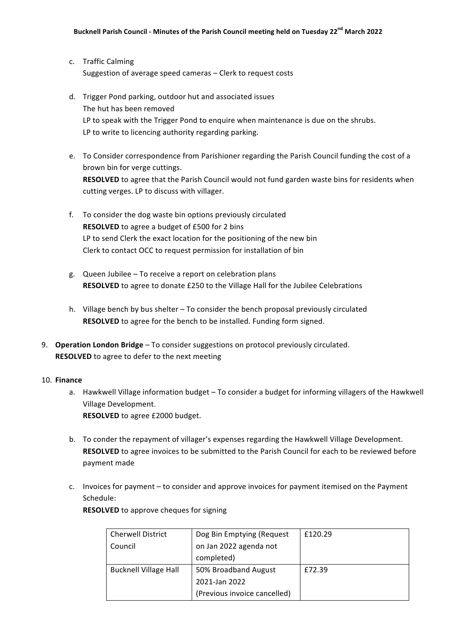- c. Traffic Calming Suggestion of average speed cameras - Clerk to request costs
- d. Trigger Pond parking, outdoor hut and associated issues The hut has been removed LP to speak with the Trigger Pond to enquire when maintenance is due on the shrubs. LP to write to licencing authority regarding parking.
- e. To Consider correspondence from Parishioner regarding the Parish Council funding the cost of a brown bin for verge cuttings. **RESOLVED** to agree that the Parish Council would not fund garden waste bins for residents when cutting verges. LP to discuss with villager.
- f. To consider the dog waste bin options previously circulated **RESOLVED** to agree a budget of £500 for 2 bins LP to send Clerk the exact location for the positioning of the new bin Clerk to contact OCC to request permission for installation of bin
- g. Queen Jubilee To receive a report on celebration plans **RESOLVED** to agree to donate £250 to the Village Hall for the Jubilee Celebrations
- h. Village bench by bus shelter  $-$  To consider the bench proposal previously circulated **RESOLVED** to agree for the bench to be installed. Funding form signed.
- 9. **Operation London Bridge** To consider suggestions on protocol previously circulated. **RESOLVED** to agree to defer to the next meeting

## 10. **Finance**

- a. Hawkwell Village information budget To consider a budget for informing villagers of the Hawkwell Village Development. **RESOLVED** to agree £2000 budget.
- b. To conder the repayment of villager's expenses regarding the Hawkwell Village Development. **RESOLVED** to agree invoices to be submitted to the Parish Council for each to be reviewed before payment made
- c. Invoices for payment to consider and approve invoices for payment itemised on the Payment Schedule:

**RESOLVED** to approve cheques for signing

| <b>Cherwell District</b>     | Dog Bin Emptying (Request    | £120.29 |
|------------------------------|------------------------------|---------|
| Council                      | on Jan 2022 agenda not       |         |
|                              | completed)                   |         |
| <b>Bucknell Village Hall</b> | 50% Broadband August         | £72.39  |
|                              | 2021-Jan 2022                |         |
|                              | (Previous invoice cancelled) |         |